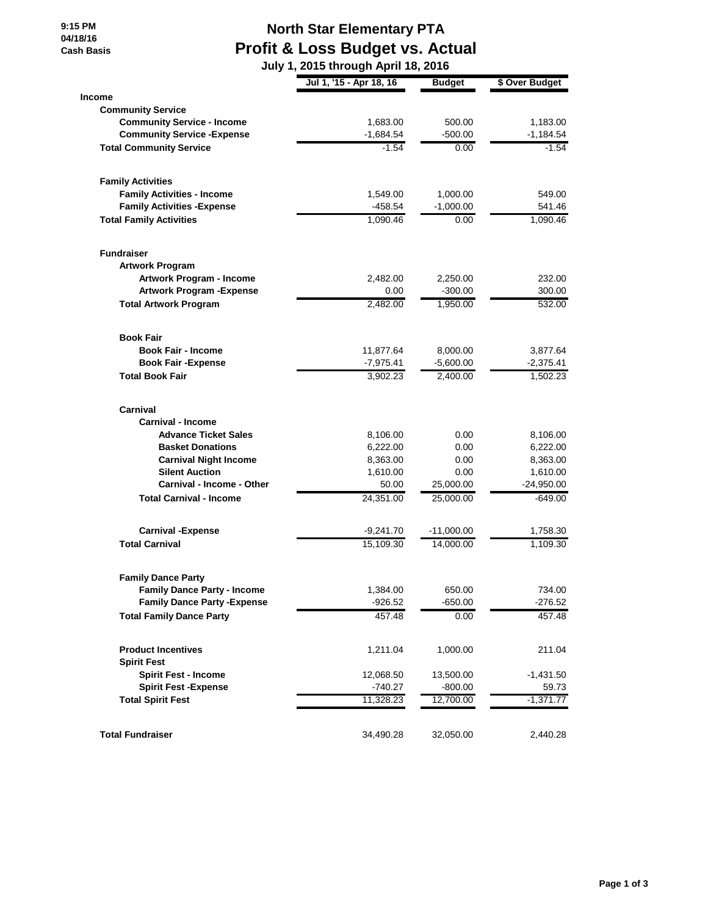**9:15 PM 04/18/16 Cash Basis**

## **North Star Elementary PTA Profit & Loss Budget vs. Actual**

|                                     | July 1, 2015 through April 18, 2016 |               |                |  |  |
|-------------------------------------|-------------------------------------|---------------|----------------|--|--|
|                                     | Jul 1, '15 - Apr 18, 16             | <b>Budget</b> | \$ Over Budget |  |  |
| <b>Income</b>                       |                                     |               |                |  |  |
| <b>Community Service</b>            |                                     |               |                |  |  |
| <b>Community Service - Income</b>   | 1,683.00                            | 500.00        | 1,183.00       |  |  |
| <b>Community Service - Expense</b>  | $-1,684.54$                         | $-500.00$     | $-1,184.54$    |  |  |
| <b>Total Community Service</b>      | $-1.54$                             | 0.00          | $-1.54$        |  |  |
| <b>Family Activities</b>            |                                     |               |                |  |  |
| <b>Family Activities - Income</b>   | 1,549.00                            | 1,000.00      | 549.00         |  |  |
| <b>Family Activities - Expense</b>  | $-458.54$                           | $-1,000.00$   | 541.46         |  |  |
| <b>Total Family Activities</b>      | 1,090.46                            | 0.00          | 1,090.46       |  |  |
| <b>Fundraiser</b>                   |                                     |               |                |  |  |
| <b>Artwork Program</b>              |                                     |               |                |  |  |
| Artwork Program - Income            | 2,482.00                            | 2,250.00      | 232.00         |  |  |
| <b>Artwork Program - Expense</b>    | 0.00                                | $-300.00$     | 300.00         |  |  |
| <b>Total Artwork Program</b>        | 2,482.00                            | 1,950.00      | 532.00         |  |  |
| <b>Book Fair</b>                    |                                     |               |                |  |  |
| <b>Book Fair - Income</b>           | 11,877.64                           | 8,000.00      | 3,877.64       |  |  |
| <b>Book Fair - Expense</b>          | $-7,975.41$                         | $-5,600.00$   | $-2,375.41$    |  |  |
| <b>Total Book Fair</b>              | 3,902.23                            | 2,400.00      | 1,502.23       |  |  |
| Carnival                            |                                     |               |                |  |  |
| <b>Carnival - Income</b>            |                                     |               |                |  |  |
| <b>Advance Ticket Sales</b>         | 8,106.00                            | 0.00          | 8,106.00       |  |  |
| <b>Basket Donations</b>             | 6,222.00                            | 0.00          | 6,222.00       |  |  |
| <b>Carnival Night Income</b>        | 8,363.00                            | 0.00          | 8,363.00       |  |  |
| <b>Silent Auction</b>               | 1,610.00                            | 0.00          | 1,610.00       |  |  |
| <b>Carnival - Income - Other</b>    | 50.00                               | 25,000.00     | $-24,950.00$   |  |  |
| <b>Total Carnival - Income</b>      | 24,351.00                           | 25,000.00     | $-649.00$      |  |  |
| <b>Carnival -Expense</b>            | $-9,241.70$                         | $-11,000.00$  | 1,758.30       |  |  |
| <b>Total Carnival</b>               | 15,109.30                           | 14,000.00     | 1,109.30       |  |  |
| <b>Family Dance Party</b>           |                                     |               |                |  |  |
| <b>Family Dance Party - Income</b>  | 1,384.00                            | 650.00        | 734.00         |  |  |
| <b>Family Dance Party - Expense</b> | $-926.52$                           | $-650.00$     | $-276.52$      |  |  |
| <b>Total Family Dance Party</b>     | 457.48                              | 0.00          | 457.48         |  |  |
| <b>Product Incentives</b>           | 1,211.04                            | 1,000.00      | 211.04         |  |  |
| <b>Spirit Fest</b>                  |                                     |               |                |  |  |
| <b>Spirit Fest - Income</b>         | 12,068.50                           | 13,500.00     | $-1,431.50$    |  |  |
| <b>Spirit Fest - Expense</b>        | $-740.27$                           | $-800.00$     | 59.73          |  |  |
| <b>Total Spirit Fest</b>            | 11,328.23                           | 12,700.00     | $-1,371.77$    |  |  |
| <b>Total Fundraiser</b>             | 34,490.28                           | 32,050.00     | 2,440.28       |  |  |
|                                     |                                     |               |                |  |  |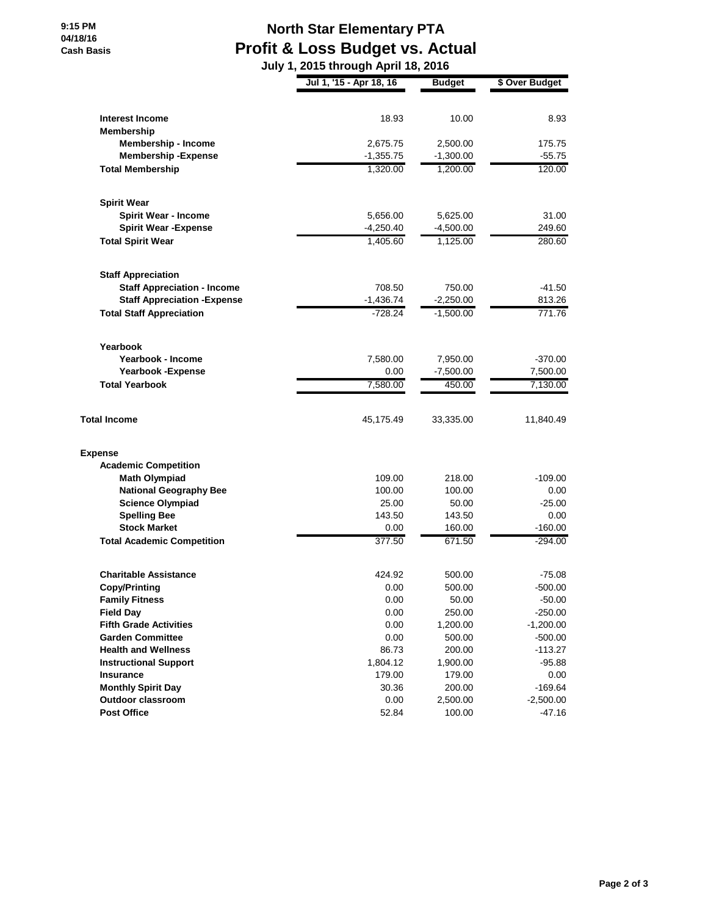## **North Star Elementary PTA Profit & Loss Budget vs. Actual**

|                                     | July 1, 2015 through April 18, 2016 |               |                |  |
|-------------------------------------|-------------------------------------|---------------|----------------|--|
|                                     | Jul 1, '15 - Apr 18, 16             | <b>Budget</b> | \$ Over Budget |  |
| <b>Interest Income</b>              | 18.93                               | 10.00         | 8.93           |  |
| Membership                          |                                     |               |                |  |
| <b>Membership - Income</b>          | 2,675.75                            | 2,500.00      | 175.75         |  |
| <b>Membership - Expense</b>         | $-1,355.75$                         | $-1,300.00$   | $-55.75$       |  |
| <b>Total Membership</b>             | 1,320.00                            | 1,200.00      | 120.00         |  |
| <b>Spirit Wear</b>                  |                                     |               |                |  |
| <b>Spirit Wear - Income</b>         | 5,656.00                            | 5,625.00      | 31.00          |  |
| <b>Spirit Wear - Expense</b>        | $-4,250.40$                         | $-4,500.00$   | 249.60         |  |
| <b>Total Spirit Wear</b>            | 1,405.60                            | 1,125.00      | 280.60         |  |
| <b>Staff Appreciation</b>           |                                     |               |                |  |
| <b>Staff Appreciation - Income</b>  | 708.50                              | 750.00        | $-41.50$       |  |
| <b>Staff Appreciation - Expense</b> | $-1,436.74$                         | $-2,250.00$   | 813.26         |  |
| <b>Total Staff Appreciation</b>     | $-728.24$                           | $-1,500.00$   | 771.76         |  |
| Yearbook                            |                                     |               |                |  |
| Yearbook - Income                   | 7,580.00                            | 7,950.00      | $-370.00$      |  |
| <b>Yearbook -Expense</b>            | 0.00                                | $-7,500.00$   | 7,500.00       |  |
| <b>Total Yearbook</b>               | 7,580.00                            | 450.00        | 7,130.00       |  |
| <b>Total Income</b>                 | 45,175.49                           | 33,335.00     | 11,840.49      |  |
| <b>Expense</b>                      |                                     |               |                |  |
| <b>Academic Competition</b>         |                                     |               |                |  |
| <b>Math Olympiad</b>                | 109.00                              | 218.00        | $-109.00$      |  |
| <b>National Geography Bee</b>       | 100.00                              | 100.00        | 0.00           |  |
| <b>Science Olympiad</b>             | 25.00                               | 50.00         | $-25.00$       |  |
| <b>Spelling Bee</b>                 | 143.50                              | 143.50        | 0.00           |  |
| <b>Stock Market</b>                 | 0.00                                | 160.00        | $-160.00$      |  |
| <b>Total Academic Competition</b>   | 377.50                              | 671.50        | $-294.00$      |  |
| <b>Charitable Assistance</b>        | 424.92                              | 500.00        | $-75.08$       |  |
| <b>Copy/Printing</b>                | 0.00                                | 500.00        | -500.00        |  |
| <b>Family Fitness</b>               | 0.00                                | 50.00         | $-50.00$       |  |
| <b>Field Day</b>                    | 0.00                                | 250.00        | $-250.00$      |  |
| <b>Fifth Grade Activities</b>       | 0.00                                | 1,200.00      | $-1,200.00$    |  |
| <b>Garden Committee</b>             | 0.00                                | 500.00        | $-500.00$      |  |
| <b>Health and Wellness</b>          | 86.73                               | 200.00        | $-113.27$      |  |
| <b>Instructional Support</b>        | 1,804.12                            | 1,900.00      | $-95.88$       |  |
| <b>Insurance</b>                    | 179.00                              | 179.00        | 0.00           |  |
| <b>Monthly Spirit Day</b>           | 30.36                               | 200.00        | $-169.64$      |  |
| Outdoor classroom                   | 0.00                                | 2,500.00      | $-2,500.00$    |  |
| <b>Post Office</b>                  | 52.84                               | 100.00        | $-47.16$       |  |